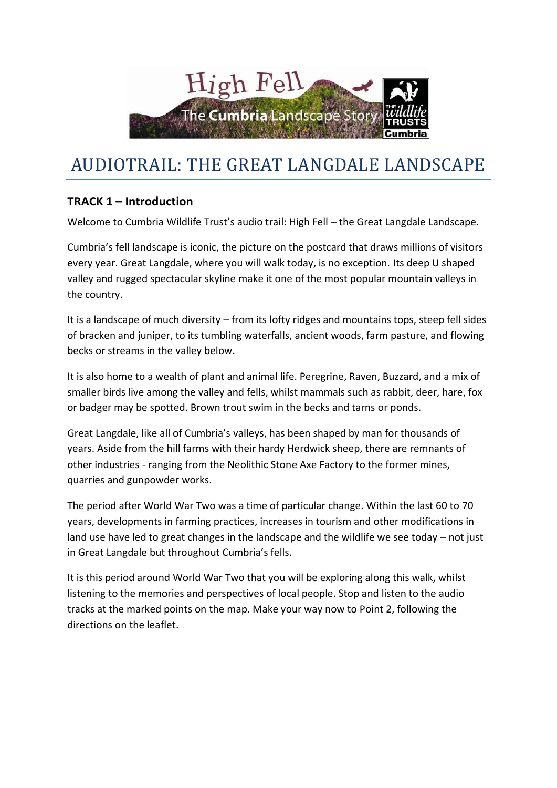

# AUDIOTRAIL: THE GREAT LANGDALE LANDSCAPE

# **TRACK 1 – Introduction**

Welcome to Cumbria Wildlife Trust's audio trail: High Fell – the Great Langdale Landscape.

Cumbria's fell landscape is iconic, the picture on the postcard that draws millions of visitors every year. Great Langdale, where you will walk today, is no exception. Its deep U shaped valley and rugged spectacular skyline make it one of the most popular mountain valleys in the country.

It is a landscape of much diversity – from its lofty ridges and mountains tops, steep fell sides of bracken and juniper, to its tumbling waterfalls, ancient woods, farm pasture, and flowing becks or streams in the valley below.

It is also home to a wealth of plant and animal life. Peregrine, Raven, Buzzard, and a mix of smaller birds live among the valley and fells, whilst mammals such as rabbit, deer, hare, fox or badger may be spotted. Brown trout swim in the becks and tarns or ponds.

Great Langdale, like all of Cumbria's valleys, has been shaped by man for thousands of years. Aside from the hill farms with their hardy Herdwick sheep, there are remnants of other industries - ranging from the Neolithic Stone Axe Factory to the former mines, quarries and gunpowder works.

The period after World War Two was a time of particular change. Within the last 60 to 70 years, developments in farming practices, increases in tourism and other modifications in land use have led to great changes in the landscape and the wildlife we see today – not just in Great Langdale but throughout Cumbria's fells.

It is this period around World War Two that you will be exploring along this walk, whilst listening to the memories and perspectives of local people. Stop and listen to the audio tracks at the marked points on the map. Make your way now to Point 2, following the directions on the leaflet.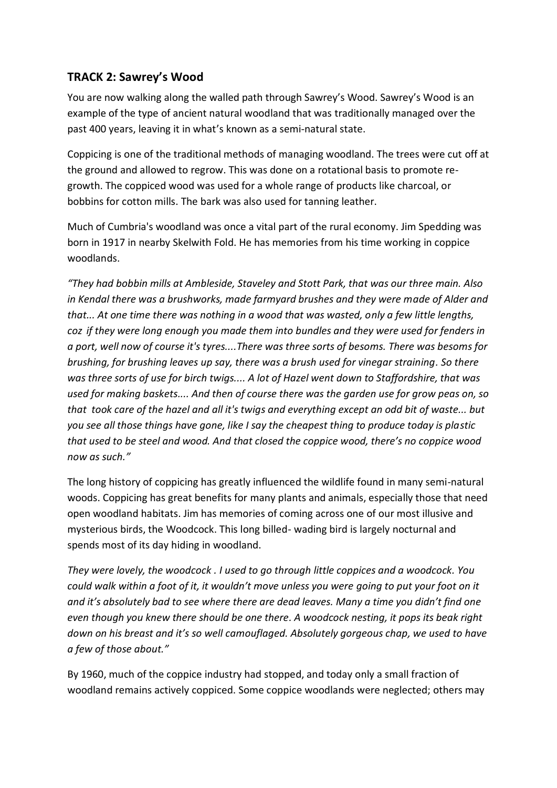## **TRACK 2: Sawrey's Wood**

You are now walking along the walled path through Sawrey's Wood. Sawrey's Wood is an example of the type of ancient natural woodland that was traditionally managed over the past 400 years, leaving it in what's known as a semi-natural state.

Coppicing is one of the traditional methods of managing woodland. The trees were cut off at the ground and allowed to regrow. This was done on a rotational basis to promote regrowth. The coppiced wood was used for a whole range of products like charcoal, or bobbins for cotton mills. The bark was also used for tanning leather.

Much of Cumbria's woodland was once a vital part of the rural economy. Jim Spedding was born in 1917 in nearby Skelwith Fold. He has memories from his time working in coppice woodlands.

*"They had bobbin mills at Ambleside, Staveley and Stott Park, that was our three main. Also in Kendal there was a brushworks, made farmyard brushes and they were made of Alder and that... At one time there was nothing in a wood that was wasted, only a few little lengths, coz if they were long enough you made them into bundles and they were used for fenders in a port, well now of course it's tyres....There was three sorts of besoms. There was besoms for brushing, for brushing leaves up say, there was a brush used for vinegar straining. So there was three sorts of use for birch twigs.... A lot of Hazel went down to Staffordshire, that was used for making baskets.... And then of course there was the garden use for grow peas on, so that took care of the hazel and all it's twigs and everything except an odd bit of waste... but you see all those things have gone, like I say the cheapest thing to produce today is plastic that used to be steel and wood. And that closed the coppice wood, there's no coppice wood now as such."*

The long history of coppicing has greatly influenced the wildlife found in many semi-natural woods. Coppicing has great benefits for many plants and animals, especially those that need open woodland habitats. Jim has memories of coming across one of our most illusive and mysterious birds, the Woodcock. This long billed- wading bird is largely nocturnal and spends most of its day hiding in woodland.

*They were lovely, the woodcock . I used to go through little coppices and a woodcock. You could walk within a foot of it, it wouldn't move unless you were going to put your foot on it and it's absolutely bad to see where there are dead leaves. Many a time you didn't find one even though you knew there should be one there. A woodcock nesting, it pops its beak right down on his breast and it's so well camouflaged. Absolutely gorgeous chap, we used to have a few of those about."*

By 1960, much of the coppice industry had stopped, and today only a small fraction of woodland remains actively coppiced. Some coppice woodlands were neglected; others may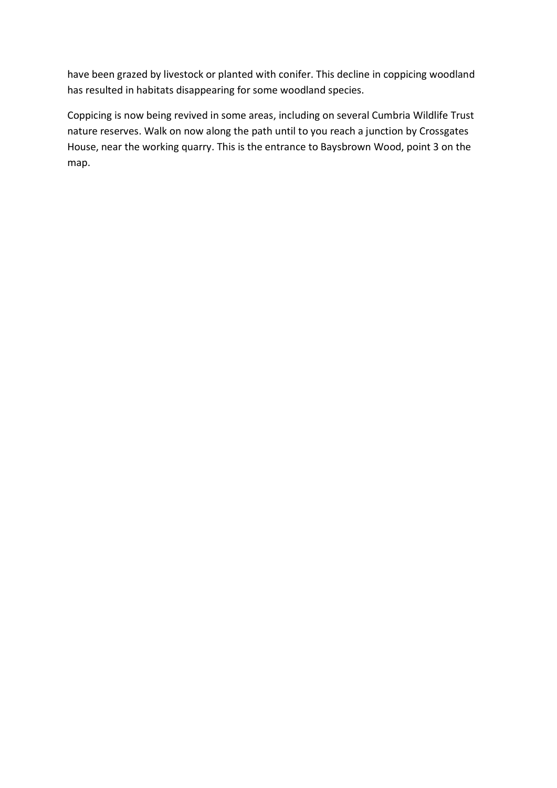have been grazed by livestock or planted with conifer. This decline in coppicing woodland has resulted in habitats disappearing for some woodland species.

Coppicing is now being revived in some areas, including on several Cumbria Wildlife Trust nature reserves. Walk on now along the path until to you reach a junction by Crossgates House, near the working quarry. This is the entrance to Baysbrown Wood, point 3 on the map.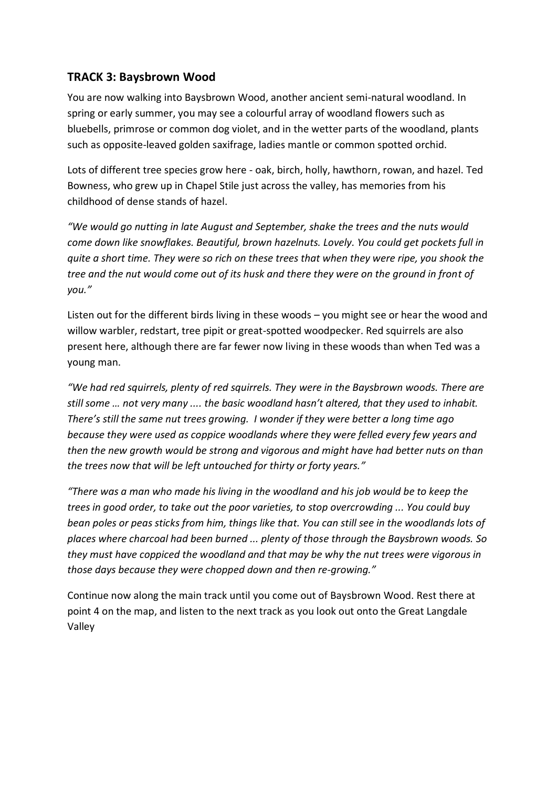### **TRACK 3: Baysbrown Wood**

You are now walking into Baysbrown Wood, another ancient semi-natural woodland. In spring or early summer, you may see a colourful array of woodland flowers such as bluebells, primrose or common dog violet, and in the wetter parts of the woodland, plants such as opposite-leaved golden saxifrage, ladies mantle or common spotted orchid.

Lots of different tree species grow here - oak, birch, holly, hawthorn, rowan, and hazel. Ted Bowness, who grew up in Chapel Stile just across the valley, has memories from his childhood of dense stands of hazel.

*"We would go nutting in late August and September, shake the trees and the nuts would come down like snowflakes. Beautiful, brown hazelnuts. Lovely. You could get pockets full in quite a short time. They were so rich on these trees that when they were ripe, you shook the tree and the nut would come out of its husk and there they were on the ground in front of you."*

Listen out for the different birds living in these woods – you might see or hear the wood and willow warbler, redstart, tree pipit or great-spotted woodpecker. Red squirrels are also present here, although there are far fewer now living in these woods than when Ted was a young man.

*"We had red squirrels, plenty of red squirrels. They were in the Baysbrown woods. There are still some … not very many .... the basic woodland hasn't altered, that they used to inhabit. There's still the same nut trees growing. I wonder if they were better a long time ago because they were used as coppice woodlands where they were felled every few years and then the new growth would be strong and vigorous and might have had better nuts on than the trees now that will be left untouched for thirty or forty years."*

*"There was a man who made his living in the woodland and his job would be to keep the trees in good order, to take out the poor varieties, to stop overcrowding ... You could buy bean poles or peas sticks from him, things like that. You can still see in the woodlands lots of places where charcoal had been burned ... plenty of those through the Baysbrown woods. So they must have coppiced the woodland and that may be why the nut trees were vigorous in those days because they were chopped down and then re-growing."*

Continue now along the main track until you come out of Baysbrown Wood. Rest there at point 4 on the map, and listen to the next track as you look out onto the Great Langdale Valley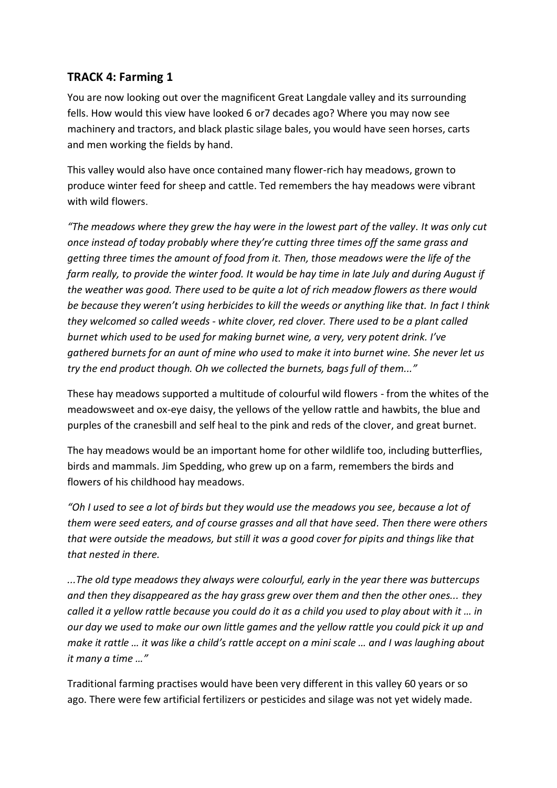### **TRACK 4: Farming 1**

You are now looking out over the magnificent Great Langdale valley and its surrounding fells. How would this view have looked 6 or7 decades ago? Where you may now see machinery and tractors, and black plastic silage bales, you would have seen horses, carts and men working the fields by hand.

This valley would also have once contained many flower-rich hay meadows, grown to produce winter feed for sheep and cattle. Ted remembers the hay meadows were vibrant with wild flowers.

*"The meadows where they grew the hay were in the lowest part of the valley. It was only cut once instead of today probably where they're cutting three times off the same grass and getting three times the amount of food from it. Then, those meadows were the life of the farm really, to provide the winter food. It would be hay time in late July and during August if the weather was good. There used to be quite a lot of rich meadow flowers as there would be because they weren't using herbicides to kill the weeds or anything like that. In fact I think they welcomed so called weeds - white clover, red clover. There used to be a plant called burnet which used to be used for making burnet wine, a very, very potent drink. I've gathered burnets for an aunt of mine who used to make it into burnet wine. She never let us try the end product though. Oh we collected the burnets, bags full of them..."*

These hay meadows supported a multitude of colourful wild flowers - from the whites of the meadowsweet and ox-eye daisy, the yellows of the yellow rattle and hawbits, the blue and purples of the cranesbill and self heal to the pink and reds of the clover, and great burnet.

The hay meadows would be an important home for other wildlife too, including butterflies, birds and mammals. Jim Spedding, who grew up on a farm, remembers the birds and flowers of his childhood hay meadows.

*"Oh I used to see a lot of birds but they would use the meadows you see, because a lot of them were seed eaters, and of course grasses and all that have seed. Then there were others that were outside the meadows, but still it was a good cover for pipits and things like that that nested in there.*

*...The old type meadows they always were colourful, early in the year there was buttercups and then they disappeared as the hay grass grew over them and then the other ones... they called it a yellow rattle because you could do it as a child you used to play about with it … in our day we used to make our own little games and the yellow rattle you could pick it up and make it rattle … it was like a child's rattle accept on a mini scale … and I was laughing about it many a time …"*

Traditional farming practises would have been very different in this valley 60 years or so ago. There were few artificial fertilizers or pesticides and silage was not yet widely made.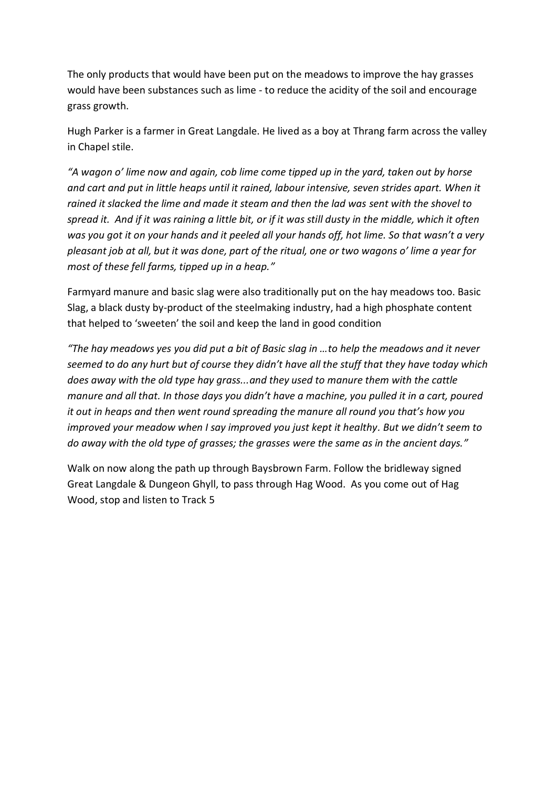The only products that would have been put on the meadows to improve the hay grasses would have been substances such as lime - to reduce the acidity of the soil and encourage grass growth.

Hugh Parker is a farmer in Great Langdale. He lived as a boy at Thrang farm across the valley in Chapel stile.

*"A wagon o' lime now and again, cob lime come tipped up in the yard, taken out by horse and cart and put in little heaps until it rained, labour intensive, seven strides apart. When it rained it slacked the lime and made it steam and then the lad was sent with the shovel to spread it. And if it was raining a little bit, or if it was still dusty in the middle, which it often was you got it on your hands and it peeled all your hands off, hot lime. So that wasn't a very pleasant job at all, but it was done, part of the ritual, one or two wagons o' lime a year for most of these fell farms, tipped up in a heap."*

Farmyard manure and basic slag were also traditionally put on the hay meadows too. Basic Slag, a black dusty by-product of the steelmaking industry, had a high phosphate content that helped to 'sweeten' the soil and keep the land in good condition

*"The hay meadows yes you did put a bit of Basic slag in …to help the meadows and it never seemed to do any hurt but of course they didn't have all the stuff that they have today which does away with the old type hay grass...and they used to manure them with the cattle manure and all that. In those days you didn't have a machine, you pulled it in a cart, poured it out in heaps and then went round spreading the manure all round you that's how you improved your meadow when I say improved you just kept it healthy. But we didn't seem to do away with the old type of grasses; the grasses were the same as in the ancient days."*

Walk on now along the path up through Baysbrown Farm. Follow the bridleway signed Great Langdale & Dungeon Ghyll, to pass through Hag Wood. As you come out of Hag Wood, stop and listen to Track 5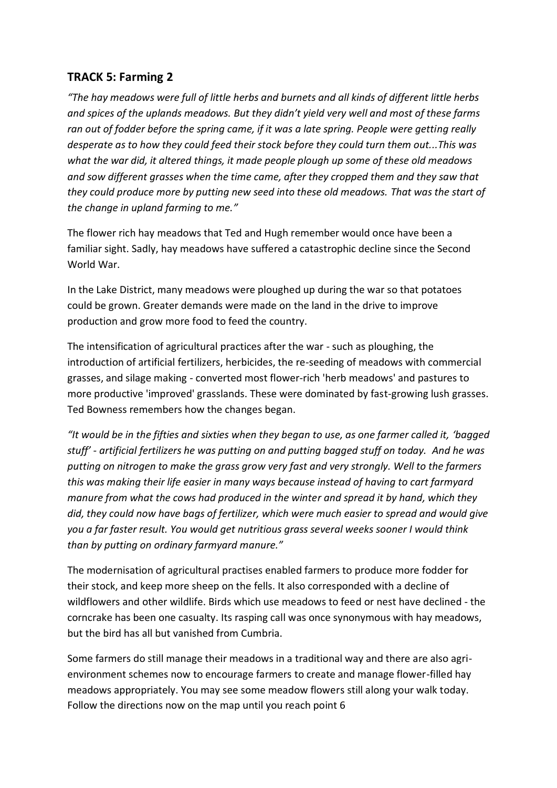#### **TRACK 5: Farming 2**

*"The hay meadows were full of little herbs and burnets and all kinds of different little herbs and spices of the uplands meadows. But they didn't yield very well and most of these farms ran out of fodder before the spring came, if it was a late spring. People were getting really desperate as to how they could feed their stock before they could turn them out...This was what the war did, it altered things, it made people plough up some of these old meadows and sow different grasses when the time came, after they cropped them and they saw that they could produce more by putting new seed into these old meadows. That was the start of the change in upland farming to me."*

The flower rich hay meadows that Ted and Hugh remember would once have been a familiar sight. Sadly, hay meadows have suffered a catastrophic decline since the Second World War.

In the Lake District, many meadows were ploughed up during the war so that potatoes could be grown. Greater demands were made on the land in the drive to improve production and grow more food to feed the country.

The intensification of agricultural practices after the war - such as ploughing, the introduction of artificial fertilizers, herbicides, the re-seeding of meadows with commercial grasses, and silage making - converted most flower-rich 'herb meadows' and pastures to more productive 'improved' grasslands. These were dominated by fast-growing lush grasses. Ted Bowness remembers how the changes began.

*"It would be in the fifties and sixties when they began to use, as one farmer called it, 'bagged stuff' - artificial fertilizers he was putting on and putting bagged stuff on today. And he was putting on nitrogen to make the grass grow very fast and very strongly. Well to the farmers this was making their life easier in many ways because instead of having to cart farmyard manure from what the cows had produced in the winter and spread it by hand, which they did, they could now have bags of fertilizer, which were much easier to spread and would give you a far faster result. You would get nutritious grass several weeks sooner I would think than by putting on ordinary farmyard manure."*

The modernisation of agricultural practises enabled farmers to produce more fodder for their stock, and keep more sheep on the fells. It also corresponded with a decline of wildflowers and other wildlife. Birds which use meadows to feed or nest have declined - the corncrake has been one casualty. Its rasping call was once synonymous with hay meadows, but the bird has all but vanished from Cumbria.

Some farmers do still manage their meadows in a traditional way and there are also agrienvironment schemes now to encourage farmers to create and manage flower-filled hay meadows appropriately. You may see some meadow flowers still along your walk today. Follow the directions now on the map until you reach point 6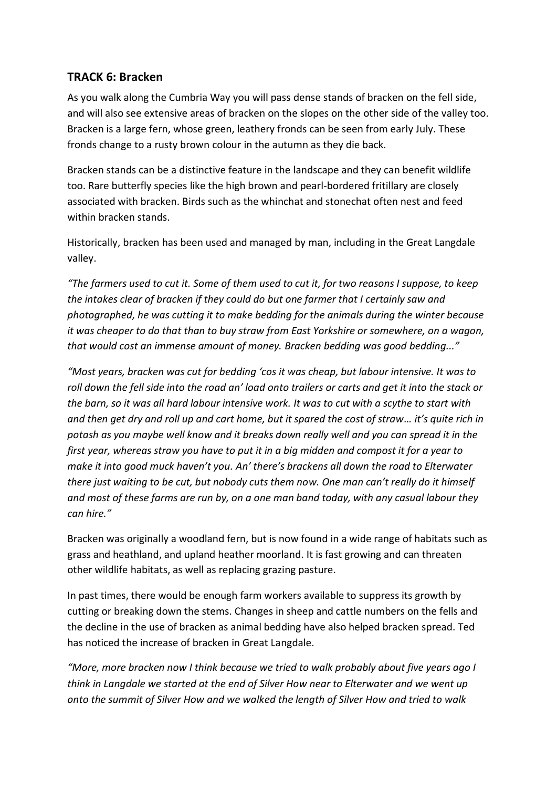#### **TRACK 6: Bracken**

As you walk along the Cumbria Way you will pass dense stands of bracken on the fell side, and will also see extensive areas of bracken on the slopes on the other side of the valley too. Bracken is a large fern, whose green, leathery fronds can be seen from early July. These fronds change to a rusty brown colour in the autumn as they die back.

Bracken stands can be a distinctive feature in the landscape and they can benefit wildlife too. Rare butterfly species like the high brown and pearl-bordered fritillary are closely associated with bracken. Birds such as the whinchat and stonechat often nest and feed within bracken stands.

Historically, bracken has been used and managed by man, including in the Great Langdale valley.

*"The farmers used to cut it. Some of them used to cut it, for two reasons I suppose, to keep the intakes clear of bracken if they could do but one farmer that I certainly saw and photographed, he was cutting it to make bedding for the animals during the winter because it was cheaper to do that than to buy straw from East Yorkshire or somewhere, on a wagon, that would cost an immense amount of money. Bracken bedding was good bedding..."*

*"Most years, bracken was cut for bedding 'cos it was cheap, but labour intensive. It was to roll down the fell side into the road an' load onto trailers or carts and get it into the stack or the barn, so it was all hard labour intensive work. It was to cut with a scythe to start with and then get dry and roll up and cart home, but it spared the cost of straw… it's quite rich in potash as you maybe well know and it breaks down really well and you can spread it in the first year, whereas straw you have to put it in a big midden and compost it for a year to make it into good muck haven't you. An' there's brackens all down the road to Elterwater there just waiting to be cut, but nobody cuts them now. One man can't really do it himself and most of these farms are run by, on a one man band today, with any casual labour they can hire."*

Bracken was originally a woodland fern, but is now found in a wide range of habitats such as grass and heathland, and upland heather moorland. It is fast growing and can threaten other wildlife habitats, as well as replacing grazing pasture.

In past times, there would be enough farm workers available to suppress its growth by cutting or breaking down the stems. Changes in sheep and cattle numbers on the fells and the decline in the use of bracken as animal bedding have also helped bracken spread. Ted has noticed the increase of bracken in Great Langdale.

*"More, more bracken now I think because we tried to walk probably about five years ago I think in Langdale we started at the end of Silver How near to Elterwater and we went up onto the summit of Silver How and we walked the length of Silver How and tried to walk*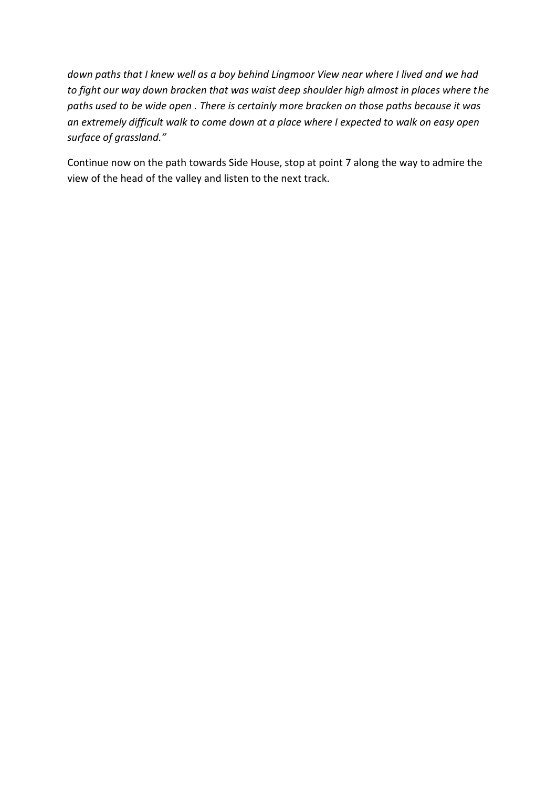*down paths that I knew well as a boy behind Lingmoor View near where I lived and we had to fight our way down bracken that was waist deep shoulder high almost in places where the paths used to be wide open . There is certainly more bracken on those paths because it was an extremely difficult walk to come down at a place where I expected to walk on easy open surface of grassland."*

Continue now on the path towards Side House, stop at point 7 along the way to admire the view of the head of the valley and listen to the next track.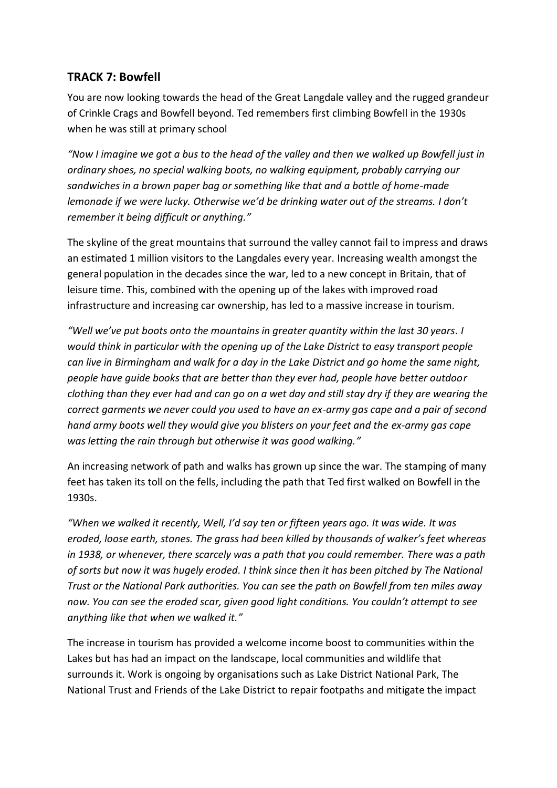## **TRACK 7: Bowfell**

You are now looking towards the head of the Great Langdale valley and the rugged grandeur of Crinkle Crags and Bowfell beyond. Ted remembers first climbing Bowfell in the 1930s when he was still at primary school

*"Now I imagine we got a bus to the head of the valley and then we walked up Bowfell just in ordinary shoes, no special walking boots, no walking equipment, probably carrying our sandwiches in a brown paper bag or something like that and a bottle of home-made lemonade if we were lucky. Otherwise we'd be drinking water out of the streams. I don't remember it being difficult or anything."*

The skyline of the great mountains that surround the valley cannot fail to impress and draws an estimated 1 million visitors to the Langdales every year. Increasing wealth amongst the general population in the decades since the war, led to a new concept in Britain, that of leisure time. This, combined with the opening up of the lakes with improved road infrastructure and increasing car ownership, has led to a massive increase in tourism.

*"Well we've put boots onto the mountains in greater quantity within the last 30 years. I would think in particular with the opening up of the Lake District to easy transport people can live in Birmingham and walk for a day in the Lake District and go home the same night, people have guide books that are better than they ever had, people have better outdoor clothing than they ever had and can go on a wet day and still stay dry if they are wearing the correct garments we never could you used to have an ex-army gas cape and a pair of second hand army boots well they would give you blisters on your feet and the ex-army gas cape was letting the rain through but otherwise it was good walking."*

An increasing network of path and walks has grown up since the war. The stamping of many feet has taken its toll on the fells, including the path that Ted first walked on Bowfell in the 1930s.

*"When we walked it recently, Well, I'd say ten or fifteen years ago. It was wide. It was eroded, loose earth, stones. The grass had been killed by thousands of walker's feet whereas in 1938, or whenever, there scarcely was a path that you could remember. There was a path of sorts but now it was hugely eroded. I think since then it has been pitched by The National Trust or the National Park authorities. You can see the path on Bowfell from ten miles away now. You can see the eroded scar, given good light conditions. You couldn't attempt to see anything like that when we walked it."*

The increase in tourism has provided a welcome income boost to communities within the Lakes but has had an impact on the landscape, local communities and wildlife that surrounds it. Work is ongoing by organisations such as Lake District National Park, The National Trust and Friends of the Lake District to repair footpaths and mitigate the impact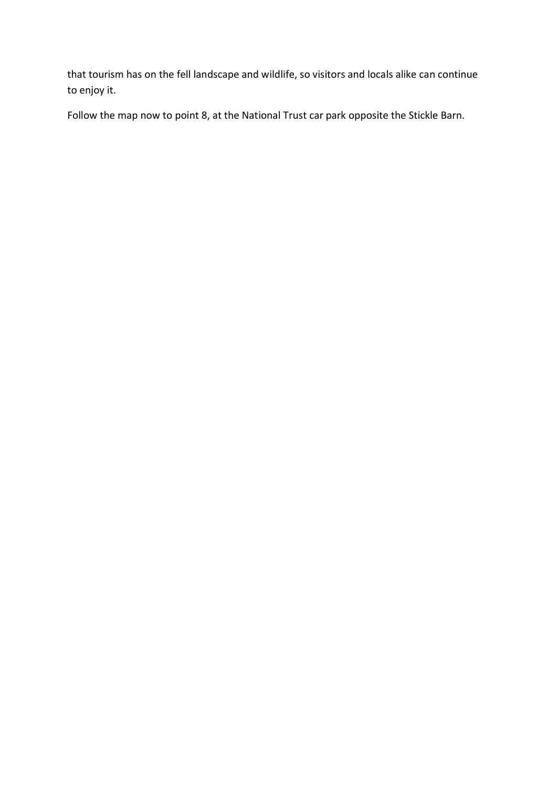that tourism has on the fell landscape and wildlife, so visitors and locals alike can continue to enjoy it.

Follow the map now to point 8, at the National Trust car park opposite the Stickle Barn.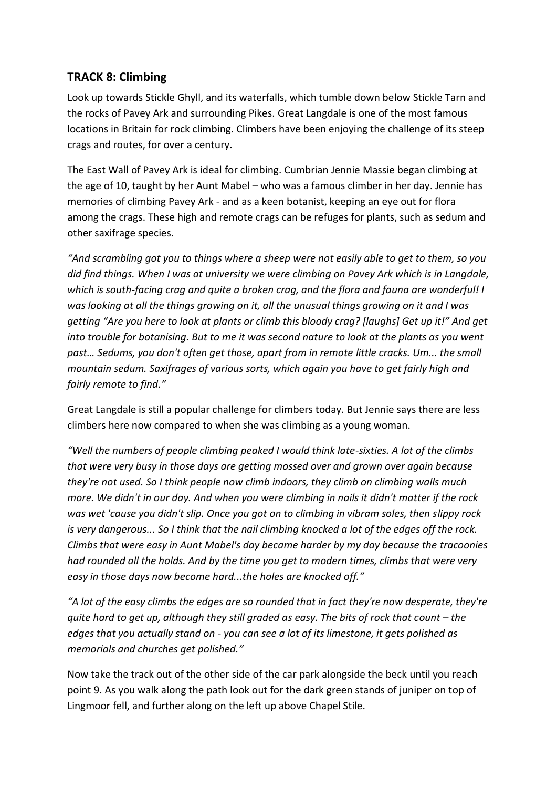#### **TRACK 8: Climbing**

Look up towards Stickle Ghyll, and its waterfalls, which tumble down below Stickle Tarn and the rocks of Pavey Ark and surrounding Pikes. Great Langdale is one of the most famous locations in Britain for rock climbing. Climbers have been enjoying the challenge of its steep crags and routes, for over a century.

The East Wall of Pavey Ark is ideal for climbing. Cumbrian Jennie Massie began climbing at the age of 10, taught by her Aunt Mabel – who was a famous climber in her day. Jennie has memories of climbing Pavey Ark - and as a keen botanist, keeping an eye out for flora among the crags. These high and remote crags can be refuges for plants, such as sedum and other saxifrage species.

*"And scrambling got you to things where a sheep were not easily able to get to them, so you did find things. When I was at university we were climbing on Pavey Ark which is in Langdale, which is south-facing crag and quite a broken crag, and the flora and fauna are wonderful! I was looking at all the things growing on it, all the unusual things growing on it and I was getting "Are you here to look at plants or climb this bloody crag? [laughs] Get up it!" And get into trouble for botanising. But to me it was second nature to look at the plants as you went past… Sedums, you don't often get those, apart from in remote little cracks. Um... the small mountain sedum. Saxifrages of various sorts, which again you have to get fairly high and fairly remote to find."*

Great Langdale is still a popular challenge for climbers today. But Jennie says there are less climbers here now compared to when she was climbing as a young woman.

*"Well the numbers of people climbing peaked I would think late-sixties. A lot of the climbs that were very busy in those days are getting mossed over and grown over again because they're not used. So I think people now climb indoors, they climb on climbing walls much more. We didn't in our day. And when you were climbing in nails it didn't matter if the rock was wet 'cause you didn't slip. Once you got on to climbing in vibram soles, then slippy rock is very dangerous... So I think that the nail climbing knocked a lot of the edges off the rock. Climbs that were easy in Aunt Mabel's day became harder by my day because the tracoonies had rounded all the holds. And by the time you get to modern times, climbs that were very easy in those days now become hard...the holes are knocked off."*

*"A lot of the easy climbs the edges are so rounded that in fact they're now desperate, they're quite hard to get up, although they still graded as easy. The bits of rock that count – the edges that you actually stand on - you can see a lot of its limestone, it gets polished as memorials and churches get polished."*

Now take the track out of the other side of the car park alongside the beck until you reach point 9. As you walk along the path look out for the dark green stands of juniper on top of Lingmoor fell, and further along on the left up above Chapel Stile.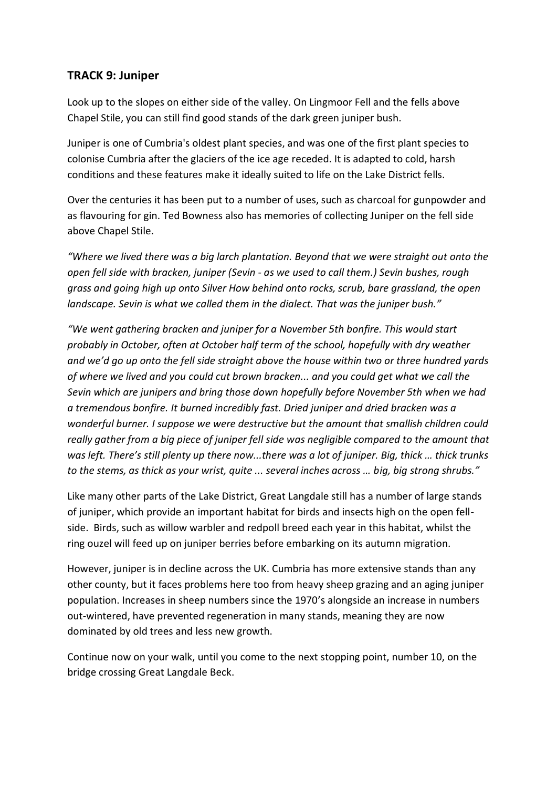#### **TRACK 9: Juniper**

Look up to the slopes on either side of the valley. On Lingmoor Fell and the fells above Chapel Stile, you can still find good stands of the dark green juniper bush.

Juniper is one of Cumbria's oldest plant species, and was one of the first plant species to colonise Cumbria after the glaciers of the ice age receded. It is adapted to cold, harsh conditions and these features make it ideally suited to life on the Lake District fells.

Over the centuries it has been put to a number of uses, such as charcoal for gunpowder and as flavouring for gin. Ted Bowness also has memories of collecting Juniper on the fell side above Chapel Stile.

*"Where we lived there was a big larch plantation. Beyond that we were straight out onto the open fell side with bracken, juniper (Sevin - as we used to call them.) Sevin bushes, rough grass and going high up onto Silver How behind onto rocks, scrub, bare grassland, the open landscape. Sevin is what we called them in the dialect. That was the juniper bush."*

*"We went gathering bracken and juniper for a November 5th bonfire. This would start probably in October, often at October half term of the school, hopefully with dry weather and we'd go up onto the fell side straight above the house within two or three hundred yards of where we lived and you could cut brown bracken... and you could get what we call the Sevin which are junipers and bring those down hopefully before November 5th when we had a tremendous bonfire. It burned incredibly fast. Dried juniper and dried bracken was a wonderful burner. I suppose we were destructive but the amount that smallish children could really gather from a big piece of juniper fell side was negligible compared to the amount that was left. There's still plenty up there now...there was a lot of juniper. Big, thick … thick trunks to the stems, as thick as your wrist, quite ... several inches across … big, big strong shrubs."*

Like many other parts of the Lake District, Great Langdale still has a number of large stands of juniper, which provide an important habitat for birds and insects high on the open fellside. Birds, such as willow warbler and redpoll breed each year in this habitat, whilst the ring ouzel will feed up on juniper berries before embarking on its autumn migration.

However, juniper is in decline across the UK. Cumbria has more extensive stands than any other county, but it faces problems here too from heavy sheep grazing and an aging juniper population. Increases in sheep numbers since the 1970's alongside an increase in numbers out-wintered, have prevented regeneration in many stands, meaning they are now dominated by old trees and less new growth.

Continue now on your walk, until you come to the next stopping point, number 10, on the bridge crossing Great Langdale Beck.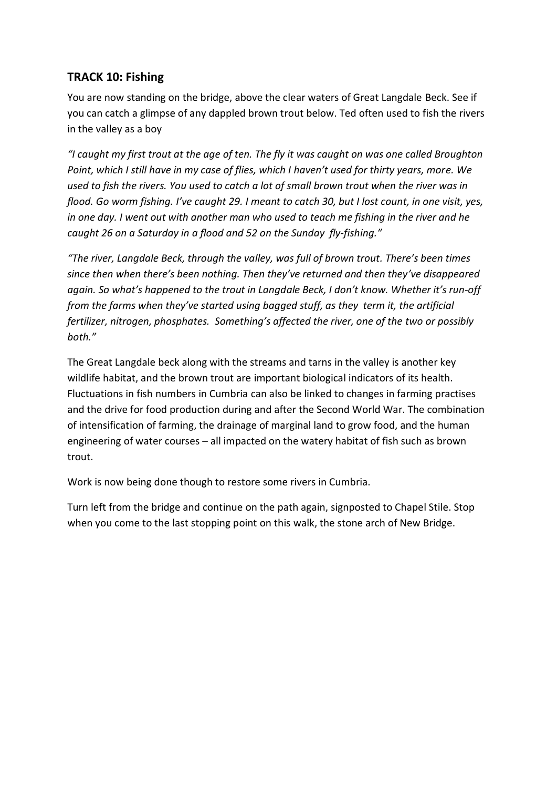# **TRACK 10: Fishing**

You are now standing on the bridge, above the clear waters of Great Langdale Beck. See if you can catch a glimpse of any dappled brown trout below. Ted often used to fish the rivers in the valley as a boy

*"I caught my first trout at the age of ten. The fly it was caught on was one called Broughton Point, which I still have in my case of flies, which I haven't used for thirty years, more. We used to fish the rivers. You used to catch a lot of small brown trout when the river was in flood. Go worm fishing. I've caught 29. I meant to catch 30, but I lost count, in one visit, yes, in one day. I went out with another man who used to teach me fishing in the river and he caught 26 on a Saturday in a flood and 52 on the Sunday fly-fishing."*

*"The river, Langdale Beck, through the valley, was full of brown trout. There's been times since then when there's been nothing. Then they've returned and then they've disappeared again. So what's happened to the trout in Langdale Beck, I don't know. Whether it's run-off from the farms when they've started using bagged stuff, as they term it, the artificial fertilizer, nitrogen, phosphates. Something's affected the river, one of the two or possibly both."*

The Great Langdale beck along with the streams and tarns in the valley is another key wildlife habitat, and the brown trout are important biological indicators of its health. Fluctuations in fish numbers in Cumbria can also be linked to changes in farming practises and the drive for food production during and after the Second World War. The combination of intensification of farming, the drainage of marginal land to grow food, and the human engineering of water courses – all impacted on the watery habitat of fish such as brown trout.

Work is now being done though to restore some rivers in Cumbria.

Turn left from the bridge and continue on the path again, signposted to Chapel Stile. Stop when you come to the last stopping point on this walk, the stone arch of New Bridge.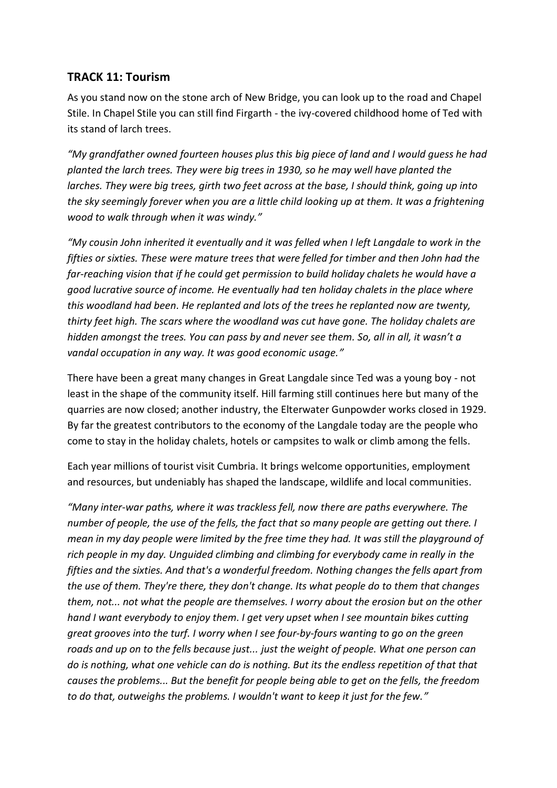#### **TRACK 11: Tourism**

As you stand now on the stone arch of New Bridge, you can look up to the road and Chapel Stile. In Chapel Stile you can still find Firgarth - the ivy-covered childhood home of Ted with its stand of larch trees.

*"My grandfather owned fourteen houses plus this big piece of land and I would guess he had planted the larch trees. They were big trees in 1930, so he may well have planted the larches. They were big trees, girth two feet across at the base, I should think, going up into the sky seemingly forever when you are a little child looking up at them. It was a frightening wood to walk through when it was windy."*

*"My cousin John inherited it eventually and it was felled when I left Langdale to work in the fifties or sixties. These were mature trees that were felled for timber and then John had the far-reaching vision that if he could get permission to build holiday chalets he would have a good lucrative source of income. He eventually had ten holiday chalets in the place where this woodland had been. He replanted and lots of the trees he replanted now are twenty, thirty feet high. The scars where the woodland was cut have gone. The holiday chalets are hidden amongst the trees. You can pass by and never see them. So, all in all, it wasn't a vandal occupation in any way. It was good economic usage."*

There have been a great many changes in Great Langdale since Ted was a young boy - not least in the shape of the community itself. Hill farming still continues here but many of the quarries are now closed; another industry, the Elterwater Gunpowder works closed in 1929. By far the greatest contributors to the economy of the Langdale today are the people who come to stay in the holiday chalets, hotels or campsites to walk or climb among the fells.

Each year millions of tourist visit Cumbria. It brings welcome opportunities, employment and resources, but undeniably has shaped the landscape, wildlife and local communities.

*"Many inter-war paths, where it was trackless fell, now there are paths everywhere. The number of people, the use of the fells, the fact that so many people are getting out there. I mean in my day people were limited by the free time they had. It was still the playground of rich people in my day. Unguided climbing and climbing for everybody came in really in the fifties and the sixties. And that's a wonderful freedom. Nothing changes the fells apart from the use of them. They're there, they don't change. Its what people do to them that changes them, not... not what the people are themselves. I worry about the erosion but on the other hand I want everybody to enjoy them. I get very upset when I see mountain bikes cutting great grooves into the turf. I worry when I see four-by-fours wanting to go on the green roads and up on to the fells because just... just the weight of people. What one person can do is nothing, what one vehicle can do is nothing. But its the endless repetition of that that causes the problems... But the benefit for people being able to get on the fells, the freedom to do that, outweighs the problems. I wouldn't want to keep it just for the few."*